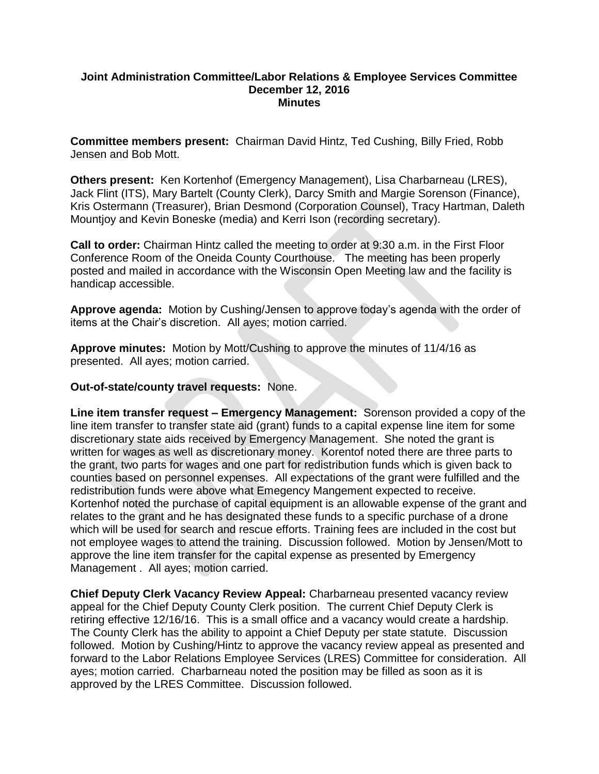#### **Joint Administration Committee/Labor Relations & Employee Services Committee December 12, 2016 Minutes**

**Committee members present:** Chairman David Hintz, Ted Cushing, Billy Fried, Robb Jensen and Bob Mott.

**Others present:** Ken Kortenhof (Emergency Management), Lisa Charbarneau (LRES), Jack Flint (ITS), Mary Bartelt (County Clerk), Darcy Smith and Margie Sorenson (Finance), Kris Ostermann (Treasurer), Brian Desmond (Corporation Counsel), Tracy Hartman, Daleth Mountjoy and Kevin Boneske (media) and Kerri Ison (recording secretary).

**Call to order:** Chairman Hintz called the meeting to order at 9:30 a.m. in the First Floor Conference Room of the Oneida County Courthouse. The meeting has been properly posted and mailed in accordance with the Wisconsin Open Meeting law and the facility is handicap accessible.

**Approve agenda:** Motion by Cushing/Jensen to approve today's agenda with the order of items at the Chair's discretion. All ayes; motion carried.

**Approve minutes:** Motion by Mott/Cushing to approve the minutes of 11/4/16 as presented. All ayes; motion carried.

#### **Out-of-state/county travel requests:** None.

**Line item transfer request – Emergency Management:** Sorenson provided a copy of the line item transfer to transfer state aid (grant) funds to a capital expense line item for some discretionary state aids received by Emergency Management. She noted the grant is written for wages as well as discretionary money. Korentof noted there are three parts to the grant, two parts for wages and one part for redistribution funds which is given back to counties based on personnel expenses. All expectations of the grant were fulfilled and the redistribution funds were above what Emegency Mangement expected to receive. Kortenhof noted the purchase of capital equipment is an allowable expense of the grant and relates to the grant and he has designated these funds to a specific purchase of a drone which will be used for search and rescue efforts. Training fees are included in the cost but not employee wages to attend the training. Discussion followed. Motion by Jensen/Mott to approve the line item transfer for the capital expense as presented by Emergency Management . All ayes; motion carried.

**Chief Deputy Clerk Vacancy Review Appeal:** Charbarneau presented vacancy review appeal for the Chief Deputy County Clerk position. The current Chief Deputy Clerk is retiring effective 12/16/16. This is a small office and a vacancy would create a hardship. The County Clerk has the ability to appoint a Chief Deputy per state statute. Discussion followed. Motion by Cushing/Hintz to approve the vacancy review appeal as presented and forward to the Labor Relations Employee Services (LRES) Committee for consideration. All ayes; motion carried. Charbarneau noted the position may be filled as soon as it is approved by the LRES Committee. Discussion followed.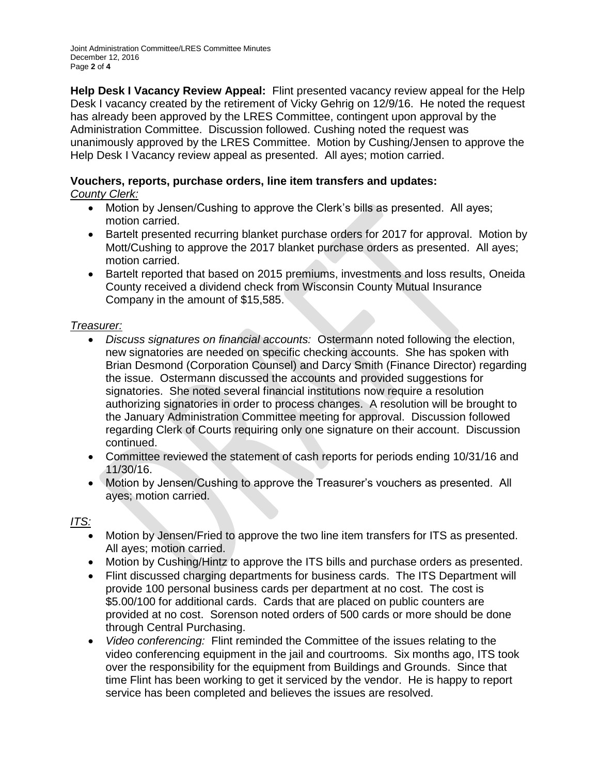Joint Administration Committee/LRES Committee Minutes December 12, 2016 Page **2** of **4**

**Help Desk I Vacancy Review Appeal:** Flint presented vacancy review appeal for the Help Desk I vacancy created by the retirement of Vicky Gehrig on 12/9/16. He noted the request has already been approved by the LRES Committee, contingent upon approval by the Administration Committee. Discussion followed. Cushing noted the request was unanimously approved by the LRES Committee. Motion by Cushing/Jensen to approve the Help Desk I Vacancy review appeal as presented. All ayes; motion carried.

# **Vouchers, reports, purchase orders, line item transfers and updates:**

*County Clerk:*

- Motion by Jensen/Cushing to approve the Clerk's bills as presented. All ayes; motion carried.
- Bartelt presented recurring blanket purchase orders for 2017 for approval. Motion by Mott/Cushing to approve the 2017 blanket purchase orders as presented. All ayes; motion carried.
- Bartelt reported that based on 2015 premiums, investments and loss results, Oneida County received a dividend check from Wisconsin County Mutual Insurance Company in the amount of \$15,585.

## *Treasurer:*

- *Discuss signatures on financial accounts:* Ostermann noted following the election, new signatories are needed on specific checking accounts. She has spoken with Brian Desmond (Corporation Counsel) and Darcy Smith (Finance Director) regarding the issue. Ostermann discussed the accounts and provided suggestions for signatories. She noted several financial institutions now require a resolution authorizing signatories in order to process changes. A resolution will be brought to the January Administration Committee meeting for approval. Discussion followed regarding Clerk of Courts requiring only one signature on their account. Discussion continued.
- Committee reviewed the statement of cash reports for periods ending 10/31/16 and 11/30/16.
- Motion by Jensen/Cushing to approve the Treasurer's vouchers as presented. All ayes; motion carried.

## *ITS:*

- Motion by Jensen/Fried to approve the two line item transfers for ITS as presented. All ayes; motion carried.
- Motion by Cushing/Hintz to approve the ITS bills and purchase orders as presented.
- Flint discussed charging departments for business cards. The ITS Department will provide 100 personal business cards per department at no cost. The cost is \$5.00/100 for additional cards. Cards that are placed on public counters are provided at no cost. Sorenson noted orders of 500 cards or more should be done through Central Purchasing.
- *Video conferencing:* Flint reminded the Committee of the issues relating to the video conferencing equipment in the jail and courtrooms. Six months ago, ITS took over the responsibility for the equipment from Buildings and Grounds. Since that time Flint has been working to get it serviced by the vendor. He is happy to report service has been completed and believes the issues are resolved.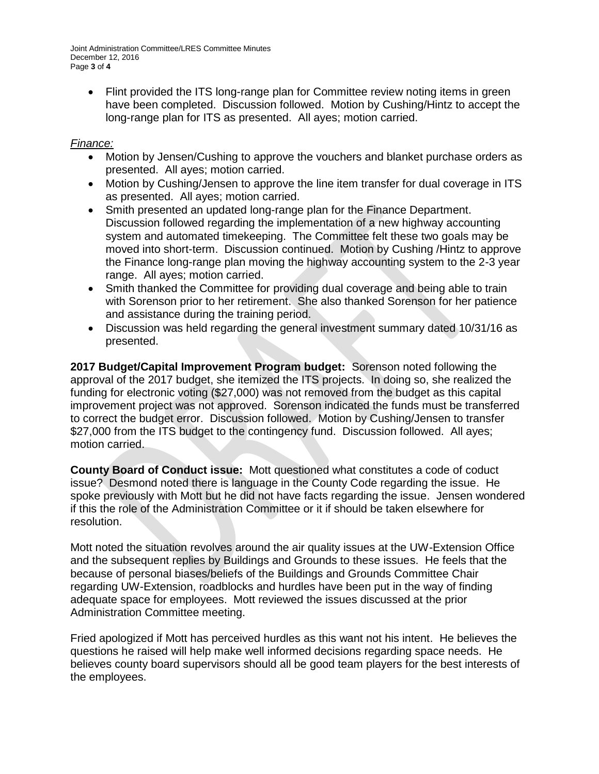Joint Administration Committee/LRES Committee Minutes December 12, 2016 Page **3** of **4**

• Flint provided the ITS long-range plan for Committee review noting items in green have been completed. Discussion followed. Motion by Cushing/Hintz to accept the long-range plan for ITS as presented. All ayes; motion carried.

#### *Finance:*

- Motion by Jensen/Cushing to approve the vouchers and blanket purchase orders as presented. All ayes; motion carried.
- Motion by Cushing/Jensen to approve the line item transfer for dual coverage in ITS as presented. All ayes; motion carried.
- Smith presented an updated long-range plan for the Finance Department. Discussion followed regarding the implementation of a new highway accounting system and automated timekeeping. The Committee felt these two goals may be moved into short-term. Discussion continued. Motion by Cushing /Hintz to approve the Finance long-range plan moving the highway accounting system to the 2-3 year range. All ayes; motion carried.
- Smith thanked the Committee for providing dual coverage and being able to train with Sorenson prior to her retirement. She also thanked Sorenson for her patience and assistance during the training period.
- Discussion was held regarding the general investment summary dated 10/31/16 as presented.

**2017 Budget/Capital Improvement Program budget:** Sorenson noted following the approval of the 2017 budget, she itemized the ITS projects. In doing so, she realized the funding for electronic voting (\$27,000) was not removed from the budget as this capital improvement project was not approved. Sorenson indicated the funds must be transferred to correct the budget error. Discussion followed. Motion by Cushing/Jensen to transfer \$27,000 from the ITS budget to the contingency fund. Discussion followed. All ayes; motion carried.

**County Board of Conduct issue:** Mott questioned what constitutes a code of coduct issue? Desmond noted there is language in the County Code regarding the issue. He spoke previously with Mott but he did not have facts regarding the issue. Jensen wondered if this the role of the Administration Committee or it if should be taken elsewhere for resolution.

Mott noted the situation revolves around the air quality issues at the UW-Extension Office and the subsequent replies by Buildings and Grounds to these issues. He feels that the because of personal biases/beliefs of the Buildings and Grounds Committee Chair regarding UW-Extension, roadblocks and hurdles have been put in the way of finding adequate space for employees. Mott reviewed the issues discussed at the prior Administration Committee meeting.

Fried apologized if Mott has perceived hurdles as this want not his intent. He believes the questions he raised will help make well informed decisions regarding space needs. He believes county board supervisors should all be good team players for the best interests of the employees.